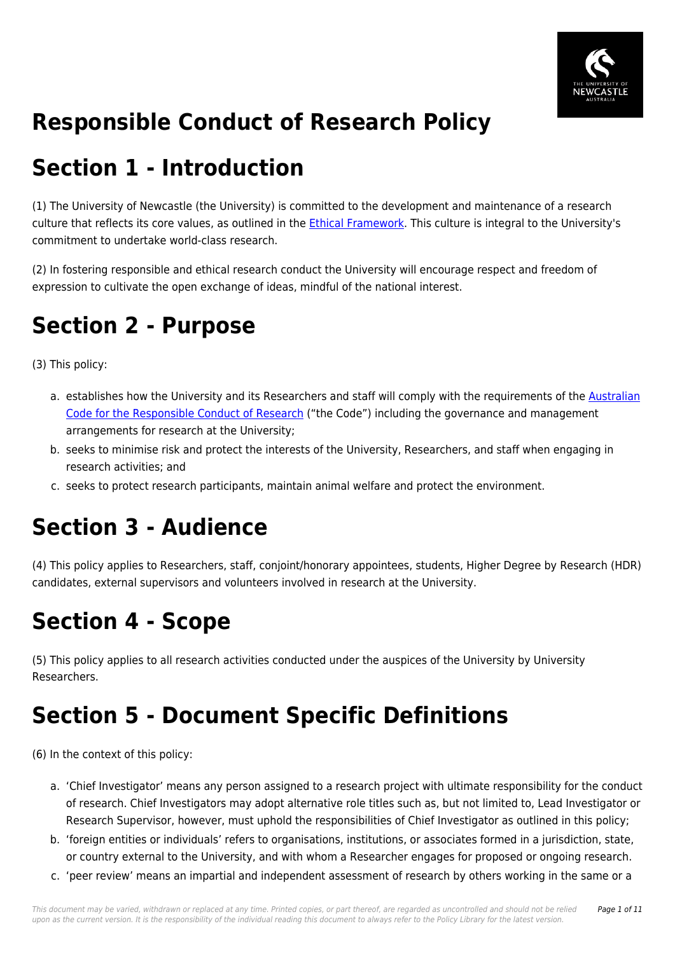

# **Responsible Conduct of Research Policy**

## **Section 1 - Introduction**

(1) The University of Newcastle (the University) is committed to the development and maintenance of a research culture that reflects its core values, as outlined in the *Ethical Framework*. This culture is integral to the University's commitment to undertake world-class research.

(2) In fostering responsible and ethical research conduct the University will encourage respect and freedom of expression to cultivate the open exchange of ideas, mindful of the national interest.

## **Section 2 - Purpose**

(3) This policy:

- a. establishes how the University and its Researchers and staff will comply with the requirements of the [Australian](https://policies.newcastle.edu.au/directory-summary.php?code=3) [Code for the Responsible Conduct of Research](https://policies.newcastle.edu.au/directory-summary.php?code=3) ("the Code") including the governance and management arrangements for research at the University;
- b. seeks to minimise risk and protect the interests of the University, Researchers, and staff when engaging in research activities; and
- c. seeks to protect research participants, maintain animal welfare and protect the environment.

# **Section 3 - Audience**

(4) This policy applies to Researchers, staff, conjoint/honorary appointees, students, Higher Degree by Research (HDR) candidates, external supervisors and volunteers involved in research at the University.

## **Section 4 - Scope**

(5) This policy applies to all research activities conducted under the auspices of the University by University Researchers.

# **Section 5 - Document Specific Definitions**

(6) In the context of this policy:

- a. 'Chief Investigator' means any person assigned to a research project with ultimate responsibility for the conduct of research. Chief Investigators may adopt alternative role titles such as, but not limited to, Lead Investigator or Research Supervisor, however, must uphold the responsibilities of Chief Investigator as outlined in this policy;
- b. 'foreign entities or individuals' refers to organisations, institutions, or associates formed in a jurisdiction, state, or country external to the University, and with whom a Researcher engages for proposed or ongoing research.
- c. 'peer review' means an impartial and independent assessment of research by others working in the same or a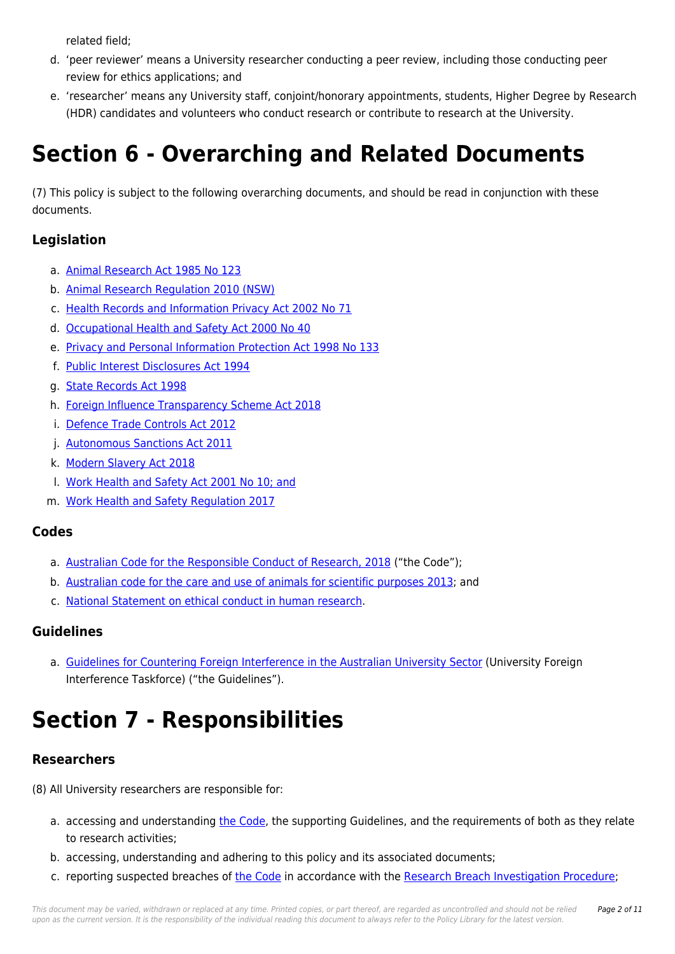related field;

- d. 'peer reviewer' means a University researcher conducting a peer review, including those conducting peer review for ethics applications; and
- e. 'researcher' means any University staff, conjoint/honorary appointments, students, Higher Degree by Research (HDR) candidates and volunteers who conduct research or contribute to research at the University.

# **Section 6 - Overarching and Related Documents**

(7) This policy is subject to the following overarching documents, and should be read in conjunction with these documents.

### **Legislation**

- a. [Animal Research Act 1985 No 123](https://policies.newcastle.edu.au/directory-summary.php?legislation=21)
- b. [Animal Research Regulation 2010 \(NSW\)](https://policies.newcastle.edu.au/directory-summary.php?legislation=78)
- c. [Health Records and Information Privacy Act 2002 No 71](https://policies.newcastle.edu.au/directory-summary.php?legislation=24)
- d. [Occupational Health and Safety Act 2000 No 40](https://policies.newcastle.edu.au/directory-summary.php?legislation=11)
- e. [Privacy and Personal Information Protection Act 1998 No 133](https://policies.newcastle.edu.au/directory-summary.php?legislation=83)
- f. [Public Interest Disclosures Act 1994](https://policies.newcastle.edu.au/directory-summary.php?legislation=25)
- g. [State Records Act 1998](https://policies.newcastle.edu.au/directory-summary.php?legislation=26)
- h. [Foreign Influence Transparency Scheme Act 2018](https://policies.newcastle.edu.au/directory-summary.php?legislation=159)
- i. [Defence Trade Controls Act 2012](https://policies.newcastle.edu.au/directory-summary.php?legislation=66)
- j. [Autonomous Sanctions Act 2011](https://policies.newcastle.edu.au/directory-summary.php?legislation=57)
- k. [Modern Slavery Act 2018](https://policies.newcastle.edu.au/directory-summary.php?legislation=117)
- l. [Work Health and Safety Act 2001 No 10; and](https://policies.newcastle.edu.au/directory-summary.php?legislation=2)
- m. [Work Health and Safety Regulation 2017](https://policies.newcastle.edu.au/directory-summary.php?legislation=3)

### **Codes**

- a. [Australian Code for the Responsible Conduct of Research, 2018](https://policies.newcastle.edu.au/directory-summary.php?code=3) ("the Code");
- b. [Australian code for the care and use of animals for scientific purposes 2013;](https://policies.newcastle.edu.au/directory-summary.php?code=1) and
- c. [National Statement on ethical conduct in human research.](https://policies.newcastle.edu.au/download.php?id=28&version=1&associated)

### **Guidelines**

a. [Guidelines for Countering Foreign Interference in the Australian University Sector](https://policies.newcastle.edu.au/download.php?id=711&version=2&associated) (University Foreign Interference Taskforce) ("the Guidelines").

# **Section 7 - Responsibilities**

### **Researchers**

- (8) All University researchers are responsible for:
	- a. accessing and understanding [the Code](https://policies.newcastle.edu.au/directory-summary.php?code=3), the supporting Guidelines, and the requirements of both as they relate to research activities;
	- b. accessing, understanding and adhering to this policy and its associated documents;
	- c. reporting suspected breaches of [the Code](https://policies.newcastle.edu.au/directory-summary.php?code=3) in accordance with the [Research Breach Investigation Procedure;](https://policies.newcastle.edu.au/document/view-current.php?id=252)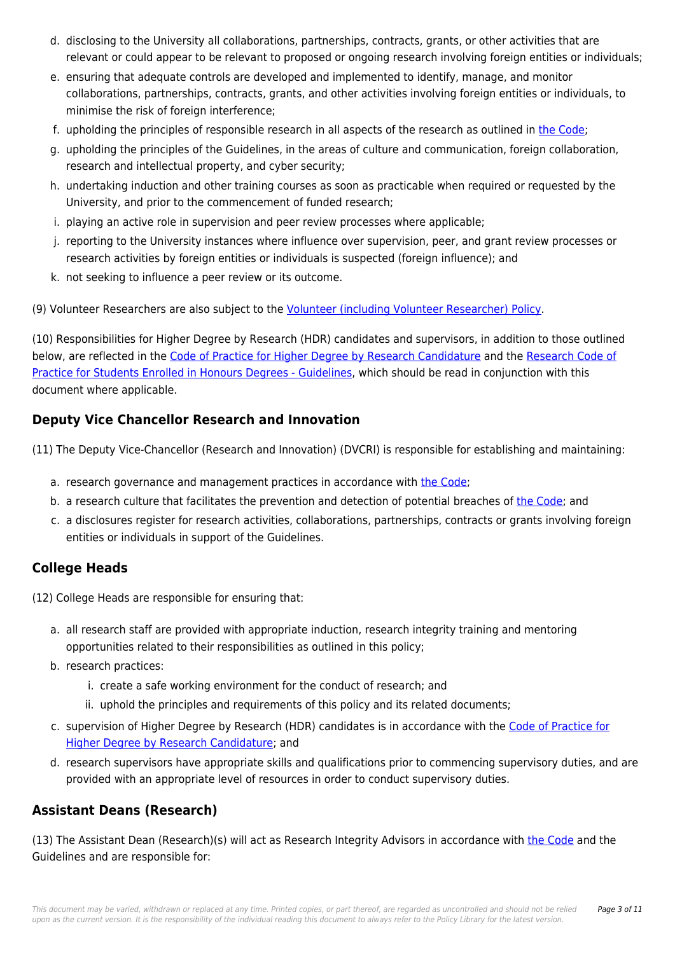- d. disclosing to the University all collaborations, partnerships, contracts, grants, or other activities that are relevant or could appear to be relevant to proposed or ongoing research involving foreign entities or individuals;
- e. ensuring that adequate controls are developed and implemented to identify, manage, and monitor collaborations, partnerships, contracts, grants, and other activities involving foreign entities or individuals, to minimise the risk of foreign interference;
- f. upholding the principles of responsible research in all aspects of the research as outlined in [the Code;](https://policies.newcastle.edu.au/directory-summary.php?code=3)
- g. upholding the principles of the Guidelines, in the areas of culture and communication, foreign collaboration, research and intellectual property, and cyber security;
- h. undertaking induction and other training courses as soon as practicable when required or requested by the University, and prior to the commencement of funded research;
- i. playing an active role in supervision and peer review processes where applicable;
- j. reporting to the University instances where influence over supervision, peer, and grant review processes or research activities by foreign entities or individuals is suspected (foreign influence); and
- k. not seeking to influence a peer review or its outcome.

(9) Volunteer Researchers are also subject to the [Volunteer \(including Volunteer Researcher\) Policy](https://policies.newcastle.edu.au/document/view-current.php?id=6).

(10) Responsibilities for Higher Degree by Research (HDR) candidates and supervisors, in addition to those outlined below, are reflected in the [Code of Practice for Higher Degree by Research Candidature](https://policies.newcastle.edu.au/document/view-current.php?id=202) and the [Research Code of](https://policies.newcastle.edu.au/document/view-current.php?id=85) [Practice for Students Enrolled in Honours Degrees - Guidelines,](https://policies.newcastle.edu.au/document/view-current.php?id=85) which should be read in conjunction with this document where applicable.

### **Deputy Vice Chancellor Research and Innovation**

(11) The Deputy Vice-Chancellor (Research and Innovation) (DVCRI) is responsible for establishing and maintaining:

- a. research governance and management practices in accordance with [the Code;](https://policies.newcastle.edu.au/directory-summary.php?code=3)
- b. a research culture that facilitates the prevention and detection of potential breaches of [the Code](https://policies.newcastle.edu.au/directory-summary.php?code=3); and
- c. a disclosures register for research activities, collaborations, partnerships, contracts or grants involving foreign entities or individuals in support of the Guidelines.

### **College Heads**

(12) College Heads are responsible for ensuring that:

- a. all research staff are provided with appropriate induction, research integrity training and mentoring opportunities related to their responsibilities as outlined in this policy;
- b. research practices:
	- i. create a safe working environment for the conduct of research; and
	- ii. uphold the principles and requirements of this policy and its related documents;
- c. supervision of Higher Degree by Research (HDR) candidates is in accordance with the [Code of Practice for](https://policies.newcastle.edu.au/document/view-current.php?id=202) [Higher Degree by Research Candidature;](https://policies.newcastle.edu.au/document/view-current.php?id=202) and
- d. research supervisors have appropriate skills and qualifications prior to commencing supervisory duties, and are provided with an appropriate level of resources in order to conduct supervisory duties.

### **Assistant Deans (Research)**

(13) The Assistant Dean (Research)(s) will act as Research Integrity Advisors in accordance with [the Code](https://policies.newcastle.edu.au/directory-summary.php?code=3) and the Guidelines and are responsible for: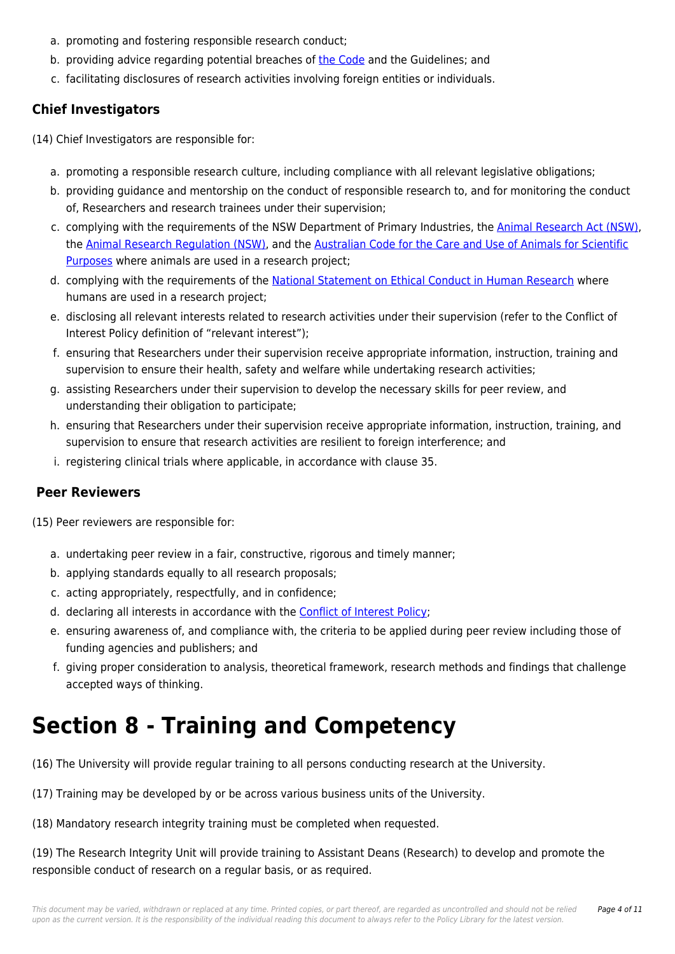- a. promoting and fostering responsible research conduct;
- b. providing advice regarding potential breaches of [the Code](https://policies.newcastle.edu.au/directory-summary.php?code=3) and the Guidelines; and
- c. facilitating disclosures of research activities involving foreign entities or individuals.

### **Chief Investigators**

(14) Chief Investigators are responsible for:

- a. promoting a responsible research culture, including compliance with all relevant legislative obligations;
- b. providing guidance and mentorship on the conduct of responsible research to, and for monitoring the conduct of, Researchers and research trainees under their supervision;
- c. complying with the requirements of the NSW Department of Primary Industries, the [Animal Research Act \(NSW\)](https://policies.newcastle.edu.au/directory-summary.php?legislation=21), the [Animal Research Regulation \(NSW\)](https://policies.newcastle.edu.au/directory-summary.php?legislation=78), and the [Australian Code for the Care and Use of Animals for Scientific](https://policies.newcastle.edu.au/directory-summary.php?code=1) [Purposes](https://policies.newcastle.edu.au/directory-summary.php?code=1) where animals are used in a research project;
- d. complying with the requirements of the [National Statement on Ethical Conduct in Human Research](https://policies.newcastle.edu.au/download.php?id=28&version=1&associated) where humans are used in a research project;
- e. disclosing all relevant interests related to research activities under their supervision (refer to the Conflict of Interest Policy definition of "relevant interest");
- f. ensuring that Researchers under their supervision receive appropriate information, instruction, training and supervision to ensure their health, safety and welfare while undertaking research activities;
- g. assisting Researchers under their supervision to develop the necessary skills for peer review, and understanding their obligation to participate;
- h. ensuring that Researchers under their supervision receive appropriate information, instruction, training, and supervision to ensure that research activities are resilient to foreign interference; and
- i. registering clinical trials where applicable, in accordance with clause 35.

### **Peer Reviewers**

(15) Peer reviewers are responsible for:

- a. undertaking peer review in a fair, constructive, rigorous and timely manner;
- b. applying standards equally to all research proposals;
- c. acting appropriately, respectfully, and in confidence;
- d. declaring all interests in accordance with the **Conflict of Interest Policy**;
- e. ensuring awareness of, and compliance with, the criteria to be applied during peer review including those of funding agencies and publishers; and
- f. giving proper consideration to analysis, theoretical framework, research methods and findings that challenge accepted ways of thinking.

## **Section 8 - Training and Competency**

(16) The University will provide regular training to all persons conducting research at the University.

(17) Training may be developed by or be across various business units of the University.

(18) Mandatory research integrity training must be completed when requested.

(19) The Research Integrity Unit will provide training to Assistant Deans (Research) to develop and promote the responsible conduct of research on a regular basis, or as required.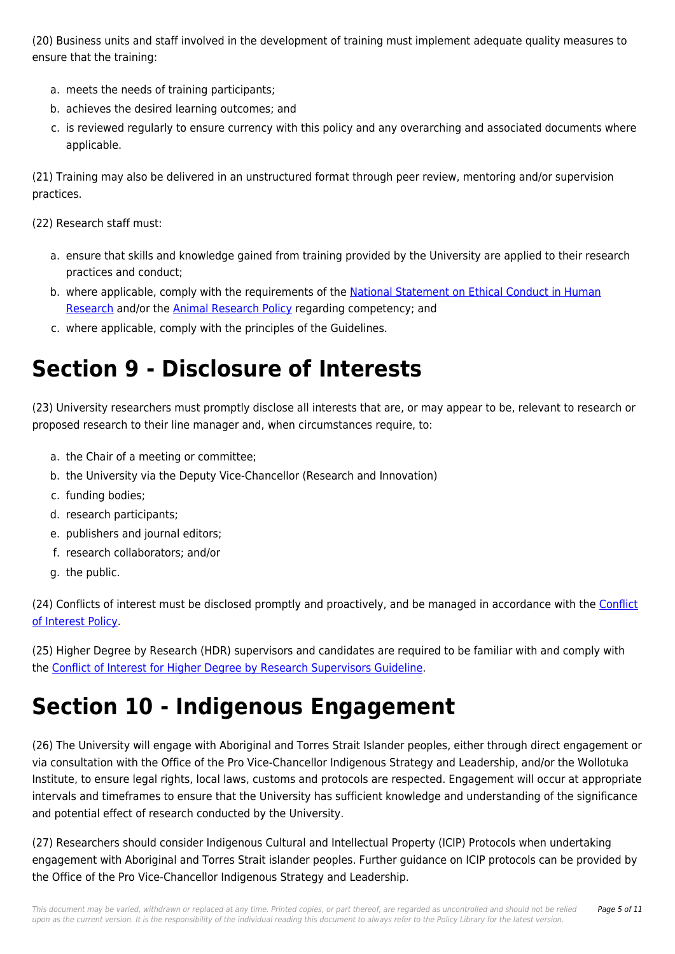(20) Business units and staff involved in the development of training must implement adequate quality measures to ensure that the training:

- a. meets the needs of training participants;
- b. achieves the desired learning outcomes; and
- c. is reviewed regularly to ensure currency with this policy and any overarching and associated documents where applicable.

(21) Training may also be delivered in an unstructured format through peer review, mentoring and/or supervision practices.

(22) Research staff must:

- a. ensure that skills and knowledge gained from training provided by the University are applied to their research practices and conduct;
- b. where applicable, comply with the requirements of the [National Statement on Ethical Conduct in Human](https://policies.newcastle.edu.au/download.php?id=28&version=1&associated) [Research](https://policies.newcastle.edu.au/download.php?id=28&version=1&associated) and/or the [Animal Research Policy](https://policies.newcastle.edu.au/document/view-current.php?id=226) regarding competency; and
- c. where applicable, comply with the principles of the Guidelines.

## **Section 9 - Disclosure of Interests**

(23) University researchers must promptly disclose all interests that are, or may appear to be, relevant to research or proposed research to their line manager and, when circumstances require, to:

- a. the Chair of a meeting or committee;
- b. the University via the Deputy Vice-Chancellor (Research and Innovation)
- c. funding bodies;
- d. research participants;
- e. publishers and journal editors;
- f. research collaborators; and/or
- g. the public.

(24) Conflicts of interest must be disclosed promptly and proactively, and be managed in accordance with the [Conflict](https://policies.newcastle.edu.au/document/view-current.php?id=192) [of Interest Policy.](https://policies.newcastle.edu.au/document/view-current.php?id=192)

(25) Higher Degree by Research (HDR) supervisors and candidates are required to be familiar with and comply with the [Conflict of Interest for Higher Degree by Research Supervisors Guideline.](https://policies.newcastle.edu.au/document/view-current.php?id=193)

### **Section 10 - Indigenous Engagement**

(26) The University will engage with Aboriginal and Torres Strait Islander peoples, either through direct engagement or via consultation with the Office of the Pro Vice-Chancellor Indigenous Strategy and Leadership, and/or the Wollotuka Institute, to ensure legal rights, local laws, customs and protocols are respected. Engagement will occur at appropriate intervals and timeframes to ensure that the University has sufficient knowledge and understanding of the significance and potential effect of research conducted by the University.

(27) Researchers should consider Indigenous Cultural and Intellectual Property (ICIP) Protocols when undertaking engagement with Aboriginal and Torres Strait islander peoples. Further guidance on ICIP protocols can be provided by the Office of the Pro Vice-Chancellor Indigenous Strategy and Leadership.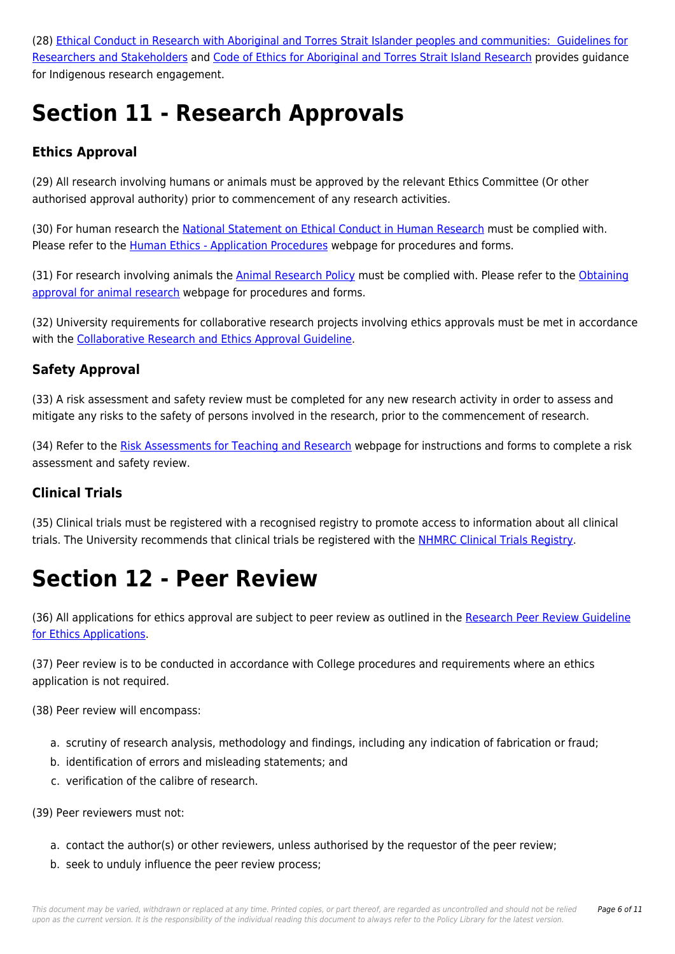(28) [Ethical Conduct in Research with Aboriginal and Torres Strait Islander peoples and communities: Guidelines for](https://policies.newcastle.edu.au/download.php?id=69&version=2&associated) [Researchers and Stakeholders](https://policies.newcastle.edu.au/download.php?id=69&version=2&associated) and [Code of Ethics for Aboriginal and Torres Strait Island Research](https://policies.newcastle.edu.au/download.php?id=660&version=4&associated) provides guidance for Indigenous research engagement.

# **Section 11 - Research Approvals**

### **Ethics Approval**

(29) All research involving humans or animals must be approved by the relevant Ethics Committee (Or other authorised approval authority) prior to commencement of any research activities.

(30) For human research the [National Statement on Ethical Conduct in Human Research](https://policies.newcastle.edu.au/download.php?id=28&version=1&associated) must be complied with. Please refer to the [Human Ethics - Application Procedures](https://policies.newcastle.edu.au/download.php?id=451&version=1&associated) webpage for procedures and forms.

(31) For research involving animals the [Animal Research Policy](https://policies.newcastle.edu.au/document/view-current.php?id=226) must be complied with. Please refer to the [Obtaining](https://policies.newcastle.edu.au/download.php?id=450&version=1&associated) [approval for animal research](https://policies.newcastle.edu.au/download.php?id=450&version=1&associated) webpage for procedures and forms.

(32) University requirements for collaborative research projects involving ethics approvals must be met in accordance with the [Collaborative Research and Ethics Approval Guideline](https://policies.newcastle.edu.au/document/view-current.php?id=201).

### **Safety Approval**

(33) A risk assessment and safety review must be completed for any new research activity in order to assess and mitigate any risks to the safety of persons involved in the research, prior to the commencement of research.

(34) Refer to the [Risk Assessments for Teaching and Research](https://policies.newcastle.edu.au/download.php?id=449&version=1&associated) webpage for instructions and forms to complete a risk assessment and safety review.

### **Clinical Trials**

(35) Clinical trials must be registered with a recognised registry to promote access to information about all clinical trials. The University recommends that clinical trials be registered with the [NHMRC Clinical Trials Registry.](https://policies.newcastle.edu.au/download.php?id=411&version=1&associated)

## **Section 12 - Peer Review**

(36) All applications for ethics approval are subject to peer review as outlined in the [Research Peer Review Guideline](https://policies.newcastle.edu.au/document/view-current.php?id=101) [for Ethics Applications](https://policies.newcastle.edu.au/document/view-current.php?id=101).

(37) Peer review is to be conducted in accordance with College procedures and requirements where an ethics application is not required.

(38) Peer review will encompass:

- a. scrutiny of research analysis, methodology and findings, including any indication of fabrication or fraud;
- b. identification of errors and misleading statements; and
- c. verification of the calibre of research.

(39) Peer reviewers must not:

- a. contact the author(s) or other reviewers, unless authorised by the requestor of the peer review;
- b. seek to unduly influence the peer review process;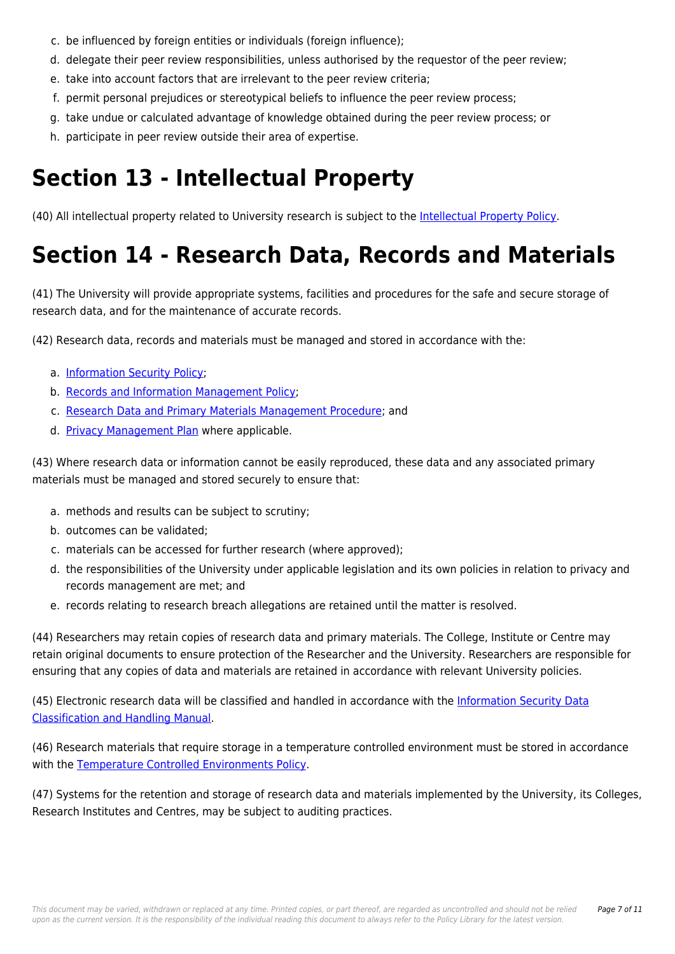- c. be influenced by foreign entities or individuals (foreign influence);
- d. delegate their peer review responsibilities, unless authorised by the requestor of the peer review;
- e. take into account factors that are irrelevant to the peer review criteria;
- f. permit personal prejudices or stereotypical beliefs to influence the peer review process;
- g. take undue or calculated advantage of knowledge obtained during the peer review process; or
- h. participate in peer review outside their area of expertise.

# **Section 13 - Intellectual Property**

(40) All intellectual property related to University research is subject to the [Intellectual Property Policy.](https://policies.newcastle.edu.au/document/view-current.php?id=132)

# **Section 14 - Research Data, Records and Materials**

(41) The University will provide appropriate systems, facilities and procedures for the safe and secure storage of research data, and for the maintenance of accurate records.

(42) Research data, records and materials must be managed and stored in accordance with the:

- a. [Information Security Policy](https://policies.newcastle.edu.au/document/view-current.php?id=135);
- b. [Records and Information Management Policy;](https://policies.newcastle.edu.au/document/view-current.php?id=81)
- c. [Research Data and Primary Materials Management Procedure;](https://policies.newcastle.edu.au/document/view-current.php?id=72) and
- d. [Privacy Management Plan](https://policies.newcastle.edu.au/document/view-current.php?id=93) where applicable.

(43) Where research data or information cannot be easily reproduced, these data and any associated primary materials must be managed and stored securely to ensure that:

- a. methods and results can be subject to scrutiny;
- b. outcomes can be validated;
- c. materials can be accessed for further research (where approved);
- d. the responsibilities of the University under applicable legislation and its own policies in relation to privacy and records management are met; and
- e. records relating to research breach allegations are retained until the matter is resolved.

(44) Researchers may retain copies of research data and primary materials. The College, Institute or Centre may retain original documents to ensure protection of the Researcher and the University. Researchers are responsible for ensuring that any copies of data and materials are retained in accordance with relevant University policies.

(45) Electronic research data will be classified and handled in accordance with the [Information Security Data](https://policies.newcastle.edu.au/document/view-current.php?id=256) [Classification and Handling Manual](https://policies.newcastle.edu.au/document/view-current.php?id=256).

(46) Research materials that require storage in a temperature controlled environment must be stored in accordance with the [Temperature Controlled Environments Policy](https://policies.newcastle.edu.au/document/view-current.php?id=23).

(47) Systems for the retention and storage of research data and materials implemented by the University, its Colleges, Research Institutes and Centres, may be subject to auditing practices.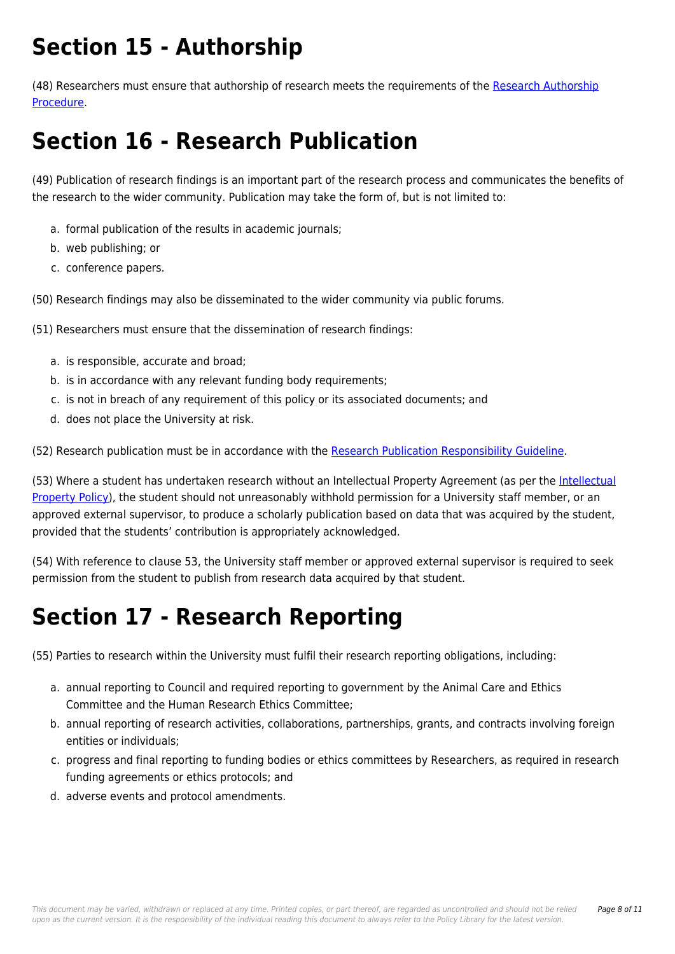# **Section 15 - Authorship**

(48) Researchers must ensure that authorship of research meets the requirements of the [Research Authorship](https://policies.newcastle.edu.au/document/view-current.php?id=128) [Procedure](https://policies.newcastle.edu.au/document/view-current.php?id=128).

# **Section 16 - Research Publication**

(49) Publication of research findings is an important part of the research process and communicates the benefits of the research to the wider community. Publication may take the form of, but is not limited to:

- a. formal publication of the results in academic journals;
- b. web publishing; or
- c. conference papers.

(50) Research findings may also be disseminated to the wider community via public forums.

(51) Researchers must ensure that the dissemination of research findings:

- a. is responsible, accurate and broad;
- b. is in accordance with any relevant funding body requirements;
- c. is not in breach of any requirement of this policy or its associated documents; and
- d. does not place the University at risk.

(52) Research publication must be in accordance with the [Research Publication Responsibility Guideline.](https://policies.newcastle.edu.au/document/view-current.php?id=69)

(53) Where a student has undertaken research without an Intellectual Property Agreement (as per the [Intellectual](https://policies.newcastle.edu.au/document/view-current.php?id=132) [Property Policy\)](https://policies.newcastle.edu.au/document/view-current.php?id=132), the student should not unreasonably withhold permission for a University staff member, or an approved external supervisor, to produce a scholarly publication based on data that was acquired by the student, provided that the students' contribution is appropriately acknowledged.

(54) With reference to clause 53, the University staff member or approved external supervisor is required to seek permission from the student to publish from research data acquired by that student.

## **Section 17 - Research Reporting**

(55) Parties to research within the University must fulfil their research reporting obligations, including:

- a. annual reporting to Council and required reporting to government by the Animal Care and Ethics Committee and the Human Research Ethics Committee;
- b. annual reporting of research activities, collaborations, partnerships, grants, and contracts involving foreign entities or individuals;
- c. progress and final reporting to funding bodies or ethics committees by Researchers, as required in research funding agreements or ethics protocols; and
- d. adverse events and protocol amendments.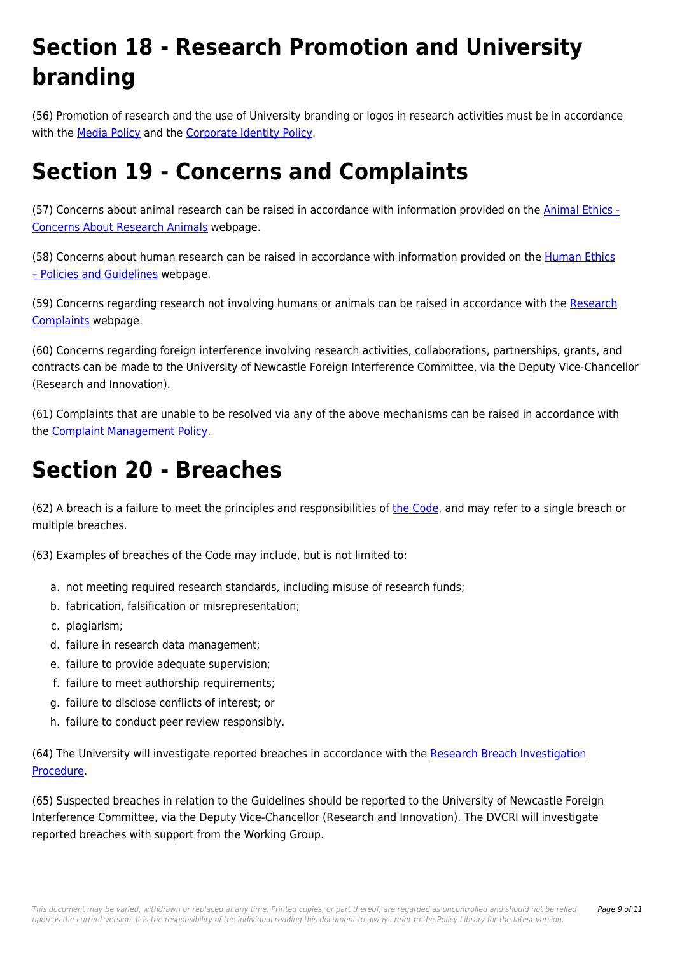# **Section 18 - Research Promotion and University branding**

(56) Promotion of research and the use of University branding or logos in research activities must be in accordance with the [Media Policy](https://policies.newcastle.edu.au/document/view-current.php?id=107) and the [Corporate Identity Policy.](https://policies.newcastle.edu.au/document/view-current.php?id=185)

## **Section 19 - Concerns and Complaints**

(57) Concerns about animal research can be raised in accordance with information provided on the [Animal Ethics -](https://policies.newcastle.edu.au/download.php?id=453&version=1&associated) [Concerns About Research Animals](https://policies.newcastle.edu.au/download.php?id=453&version=1&associated) webpage.

(58) Concerns about human research can be raised in accordance with information provided on the [Human Ethics](https://policies.newcastle.edu.au/download.php?id=454&version=2&associated) [– Policies and Guidelines](https://policies.newcastle.edu.au/download.php?id=454&version=2&associated) webpage.

(59) Concerns regarding research not involving humans or animals can be raised in accordance with the [Research](https://policies.newcastle.edu.au/download.php?id=547&version=1&associated) [Complaints](https://policies.newcastle.edu.au/download.php?id=547&version=1&associated) webpage.

(60) Concerns regarding foreign interference involving research activities, collaborations, partnerships, grants, and contracts can be made to the University of Newcastle Foreign Interference Committee, via the Deputy Vice-Chancellor (Research and Innovation).

(61) Complaints that are unable to be resolved via any of the above mechanisms can be raised in accordance with the [Complaint Management Policy](https://policies.newcastle.edu.au/document/view-current.php?id=196).

## **Section 20 - Breaches**

(62) A breach is a failure to meet the principles and responsibilities of [the Code,](https://policies.newcastle.edu.au/directory-summary.php?code=3) and may refer to a single breach or multiple breaches.

(63) Examples of breaches of the Code may include, but is not limited to:

- a. not meeting required research standards, including misuse of research funds;
- b. fabrication, falsification or misrepresentation;
- c. plagiarism;
- d. failure in research data management;
- e. failure to provide adequate supervision;
- f. failure to meet authorship requirements;
- g. failure to disclose conflicts of interest; or
- h. failure to conduct peer review responsibly.

(64) The University will investigate reported breaches in accordance with the [Research Breach Investigation](https://policies.newcastle.edu.au/document/view-current.php?id=252) [Procedure](https://policies.newcastle.edu.au/document/view-current.php?id=252).

(65) Suspected breaches in relation to the Guidelines should be reported to the University of Newcastle Foreign Interference Committee, via the Deputy Vice-Chancellor (Research and Innovation). The DVCRI will investigate reported breaches with support from the Working Group.